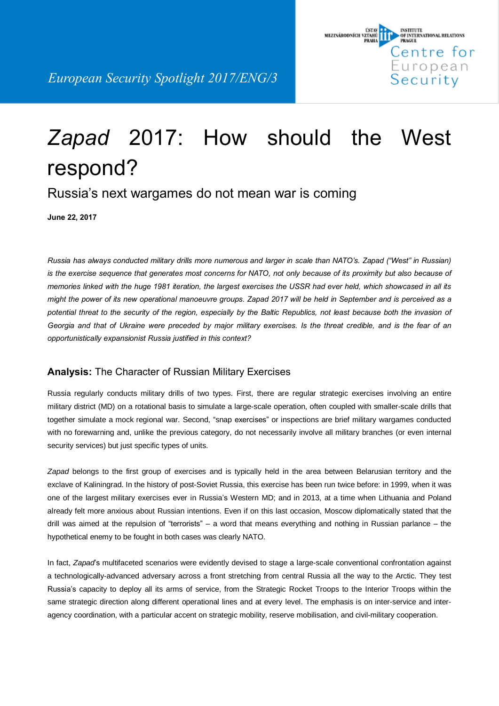

# *Zapad* 2017: How should the West respond?

## Russia's next wargames do not mean war is coming

**June 22, 2017**

Russia has always conducted military drills more numerous and larger in scale than NATO's. Zapad ("West" in Russian) is the exercise sequence that generates most concerns for NATO, not only because of its proximity but also because of memories linked with the huge 1981 iteration, the largest exercises the USSR had ever held, which showcased in all its might the power of its new operational manoeuvre groups. Zapad 2017 will be held in September and is perceived as a potential threat to the security of the region, especially by the Baltic Republics, not least because both the invasion of Georgia and that of Ukraine were preceded by major military exercises. Is the threat credible, and is the fear of an *opportunistically expansionist Russia justified in this context?*

#### **Analysis:** The Character of Russian Military Exercises

Russia regularly conducts military drills of two types. First, there are regular strategic exercises involving an entire military district (MD) on a rotational basis to simulate a large-scale operation, often coupled with smaller-scale drills that together simulate a mock regional war. Second, "snap exercises" or inspections are brief military wargames conducted with no forewarning and, unlike the previous category, do not necessarily involve all military branches (or even internal security services) but just specific types of units.

*Zapad* belongs to the first group of exercises and is typically held in the area between Belarusian territory and the exclave of Kaliningrad. In the history of post-Soviet Russia, this exercise has been run twice before: in 1999, when it was one of the largest military exercises ever in Russia's Western MD; and in 2013, at a time when Lithuania and Poland already felt more anxious about Russian intentions. Even if on this last occasion, Moscow diplomatically stated that the drill was aimed at the repulsion of "terrorists" – a word that means everything and nothing in Russian parlance – the hypothetical enemy to be fought in both cases was clearly NATO.

In fact, *Zapad*'s multifaceted scenarios were evidently devised to stage a large-scale conventional confrontation against a technologically-advanced adversary across a front stretching from central Russia all the way to the Arctic. They test Russia's capacity to deploy all its arms of service, from the Strategic Rocket Troops to the Interior Troops within the same strategic direction along different operational lines and at every level. The emphasis is on inter-service and interagency coordination, with a particular accent on strategic mobility, reserve mobilisation, and civil-military cooperation.